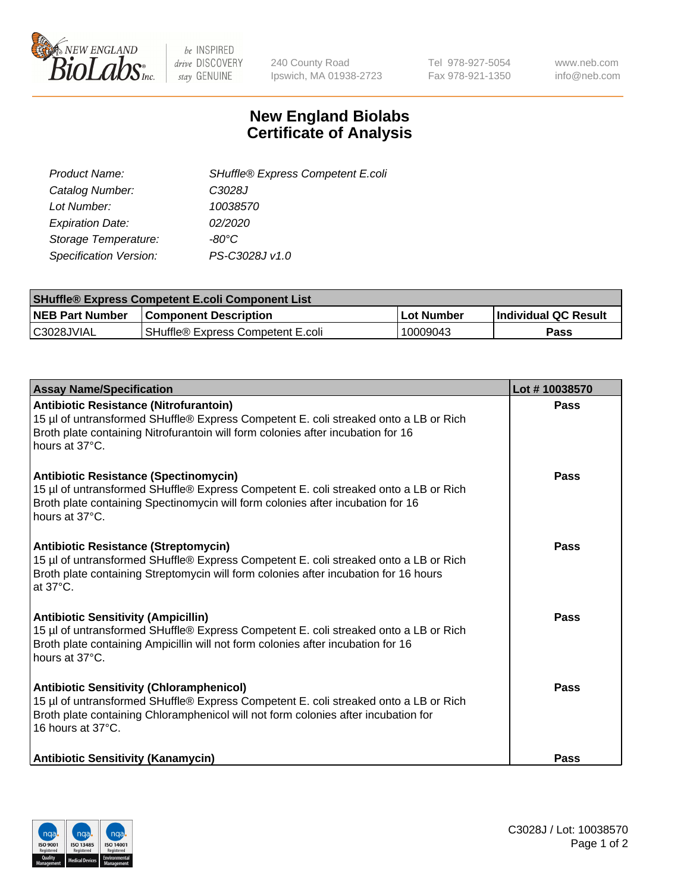

be INSPIRED drive DISCOVERY stay GENUINE

240 County Road Ipswich, MA 01938-2723 Tel 978-927-5054 Fax 978-921-1350 www.neb.com info@neb.com

## **New England Biolabs Certificate of Analysis**

| SHuffle® Express Competent E.coli |
|-----------------------------------|
| C3028J                            |
| 10038570                          |
| 02/2020                           |
| -80°C                             |
| PS-C3028J v1.0                    |
|                                   |

| <b>SHuffle® Express Competent E.coli Component List</b> |                                   |                   |                             |  |
|---------------------------------------------------------|-----------------------------------|-------------------|-----------------------------|--|
| <b>NEB Part Number</b>                                  | l Component Description           | <b>Lot Number</b> | <b>Individual QC Result</b> |  |
| C3028JVIAL                                              | SHuffle® Express Competent E.coli | 10009043          | Pass                        |  |

| <b>Assay Name/Specification</b>                                                                                                                                                                                                                    | Lot #10038570 |
|----------------------------------------------------------------------------------------------------------------------------------------------------------------------------------------------------------------------------------------------------|---------------|
| Antibiotic Resistance (Nitrofurantoin)<br>15 µl of untransformed SHuffle® Express Competent E. coli streaked onto a LB or Rich<br>Broth plate containing Nitrofurantoin will form colonies after incubation for 16<br>hours at 37°C.               | Pass          |
| Antibiotic Resistance (Spectinomycin)<br>15 µl of untransformed SHuffle® Express Competent E. coli streaked onto a LB or Rich<br>Broth plate containing Spectinomycin will form colonies after incubation for 16<br>hours at 37°C.                 | Pass          |
| <b>Antibiotic Resistance (Streptomycin)</b><br>15 µl of untransformed SHuffle® Express Competent E. coli streaked onto a LB or Rich<br>Broth plate containing Streptomycin will form colonies after incubation for 16 hours<br>at 37°C.            | <b>Pass</b>   |
| <b>Antibiotic Sensitivity (Ampicillin)</b><br>15 µl of untransformed SHuffle® Express Competent E. coli streaked onto a LB or Rich<br>Broth plate containing Ampicillin will not form colonies after incubation for 16<br>hours at 37°C.           | Pass          |
| <b>Antibiotic Sensitivity (Chloramphenicol)</b><br>15 µl of untransformed SHuffle® Express Competent E. coli streaked onto a LB or Rich<br>Broth plate containing Chloramphenicol will not form colonies after incubation for<br>16 hours at 37°C. | <b>Pass</b>   |
| <b>Antibiotic Sensitivity (Kanamycin)</b>                                                                                                                                                                                                          | <b>Pass</b>   |